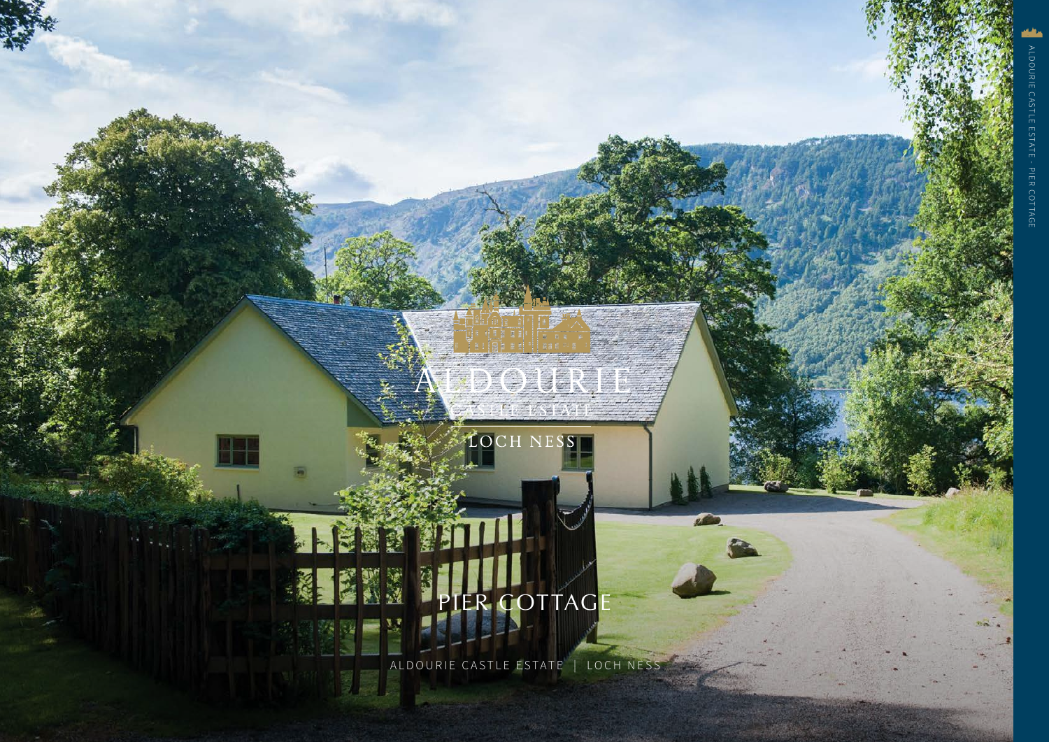## URIE  $\binom{2}{2}$ LOCH NESS PIER COTTAGE ALDOURIE CASTLE ESTATE | LOCH NESS

ALDOURIE CASTLE ESTATE - PIER COTTAGE

PIER COTTAGI

**ALDOURIE CASTLE ESTATE**